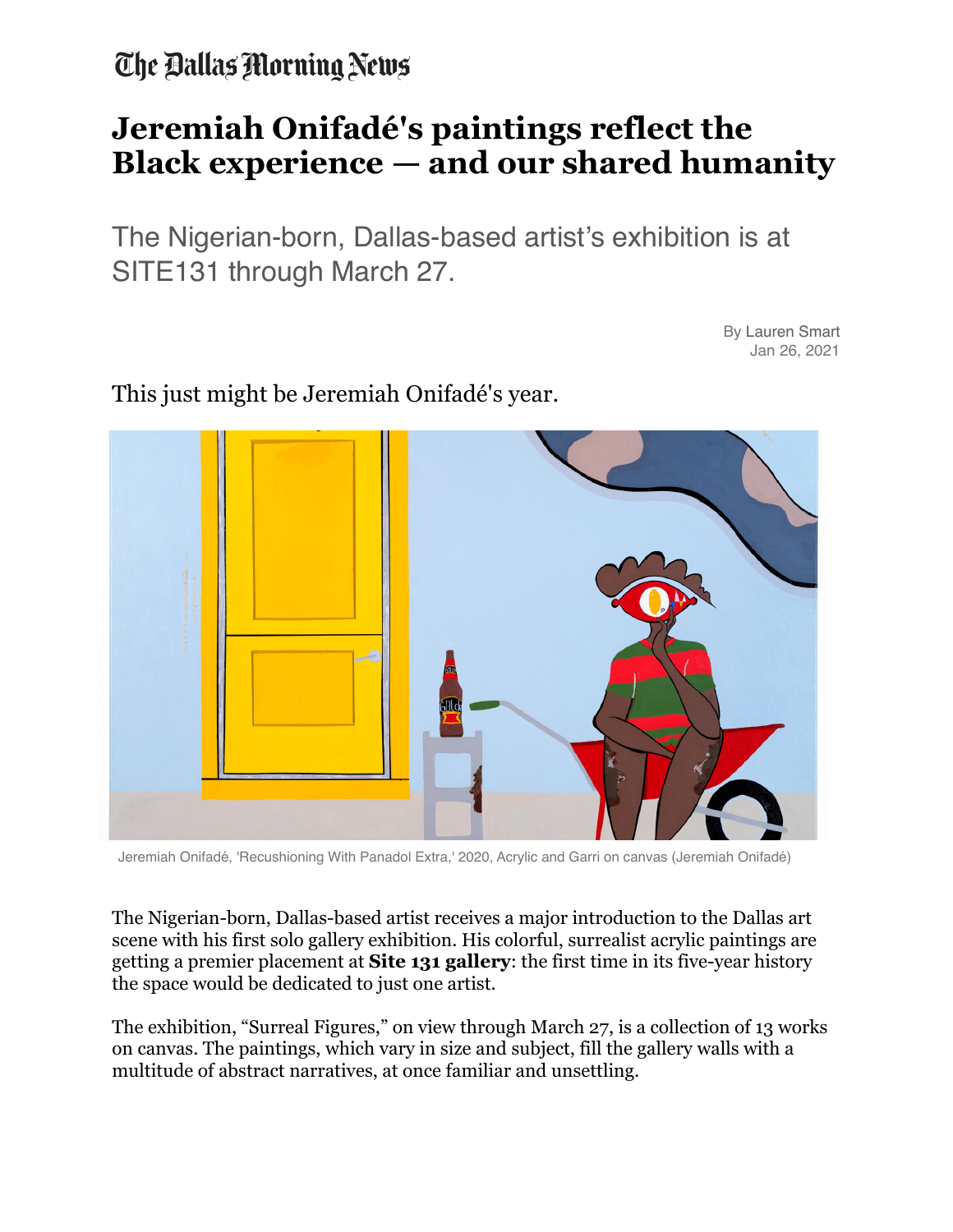The Ballas Morning News

## **Jeremiah Onifadé's paintings reflect the Black experience — and our shared humanity**

The Nigerian-born, Dallas-based artist's exhibition is at SITE131 through March 27.

> By Lauren Smart Jan 26, 2021



This just might be Jeremiah Onifadé's year.

Jeremiah Onifadé, 'Recushioning With Panadol Extra,' 2020, Acrylic and Garri on canvas (Jeremiah Onifadé)

The Nigerian-born, Dallas-based artist receives a major introduction to the Dallas art scene with his first solo gallery exhibition. His colorful, surrealist acrylic paintings are getting a premier placement at **[Site 131 gallery](https://site131.com/)**: the first time in its five-year history the space would be dedicated to just one artist.

The exhibition, "Surreal Figures," on view through March 27, is a collection of 13 works on canvas. The paintings, which vary in size and subject, fill the gallery walls with a multitude of abstract narratives, at once familiar and unsettling.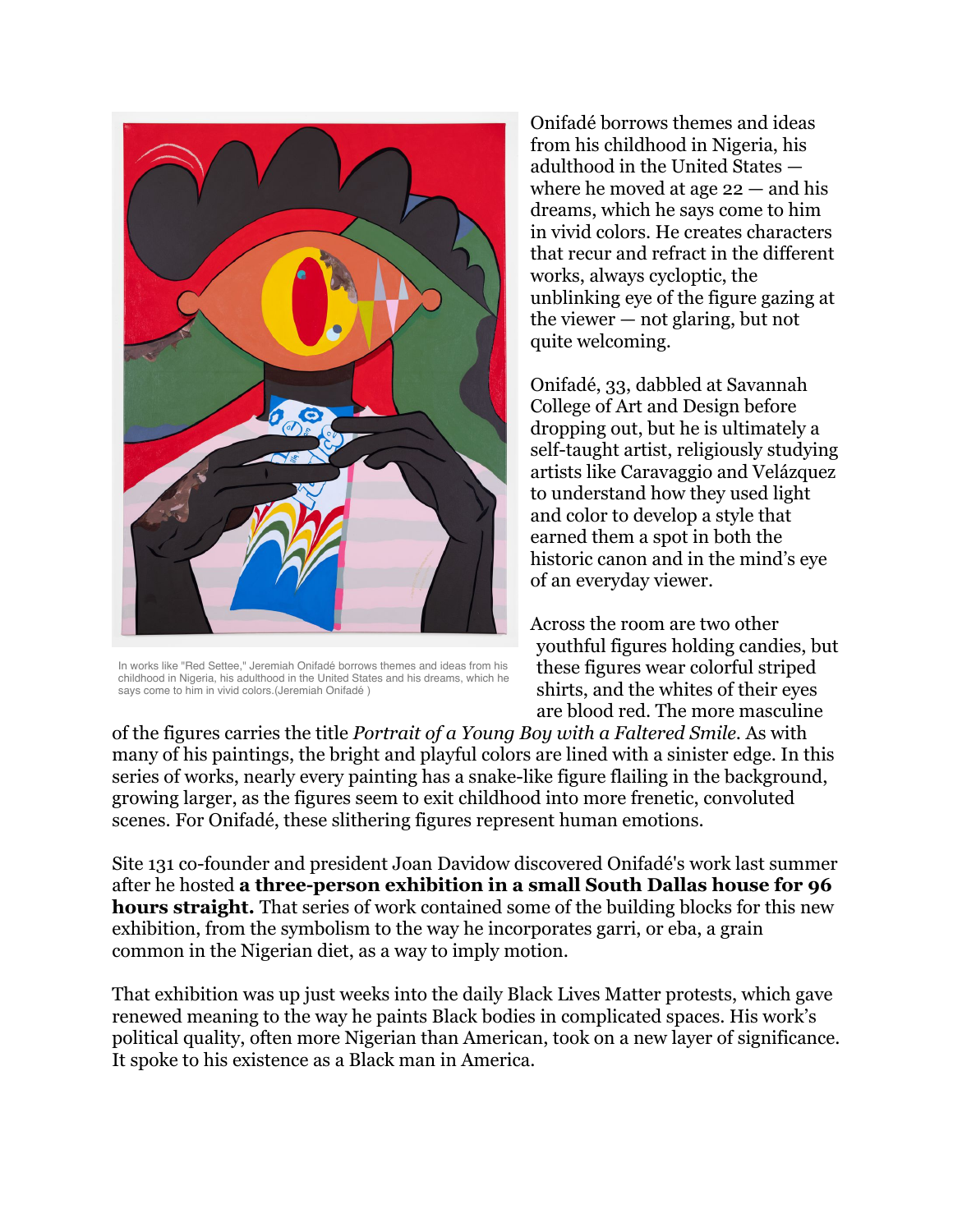

In works like "Red Settee," Jeremiah Onifadé borrows themes and ideas from his childhood in Nigeria, his adulthood in the United States and his dreams, which he says come to him in vivid colors.(Jeremiah Onifadé )

Onifadé borrows themes and ideas from his childhood in Nigeria, his adulthood in the United States where he moved at age  $22 -$  and his dreams, which he says come to him in vivid colors. He creates characters that recur and refract in the different works, always cycloptic, the unblinking eye of the figure gazing at the viewer — not glaring, but not quite welcoming.

Onifadé, 33, dabbled at Savannah College of Art and Design before dropping out, but he is ultimately a self-taught artist, religiously studying artists like Caravaggio and Velázquez to understand how they used light and color to develop a style that earned them a spot in both the historic canon and in the mind's eye of an everyday viewer.

Across the room are two other youthful figures holding candies, but these figures wear colorful striped shirts, and the whites of their eyes are blood red. The more masculine

of the figures carries the title *Portrait of a Young Boy with a Faltered Smile*. As with many of his paintings, the bright and playful colors are lined with a sinister edge. In this series of works, nearly every painting has a snake-like figure flailing in the background, growing larger, as the figures seem to exit childhood into more frenetic, convoluted scenes. For Onifadé, these slithering figures represent human emotions.

Site 131 co-founder and president Joan Davidow discovered Onifadé's work last summer after he hosted **[a three-person exhibition in a small South Dallas house for 96](https://www.dallasnews.com/arts-entertainment/visual-arts/2020/06/23/artists-96-hour-pop-up-show-takes-on-new-meaning-amid-black-lives-matter-protests/)  [hours straight.](https://www.dallasnews.com/arts-entertainment/visual-arts/2020/06/23/artists-96-hour-pop-up-show-takes-on-new-meaning-amid-black-lives-matter-protests/)** That series of work contained some of the building blocks for this new exhibition, from the symbolism to the way he incorporates garri, or eba, a grain common in the Nigerian diet, as a way to imply motion.

That exhibition was up just weeks into the daily Black Lives Matter protests, which gave renewed meaning to the way he paints Black bodies in complicated spaces. His work's political quality, often more Nigerian than American, took on a new layer of significance. It spoke to his existence as a Black man in America.